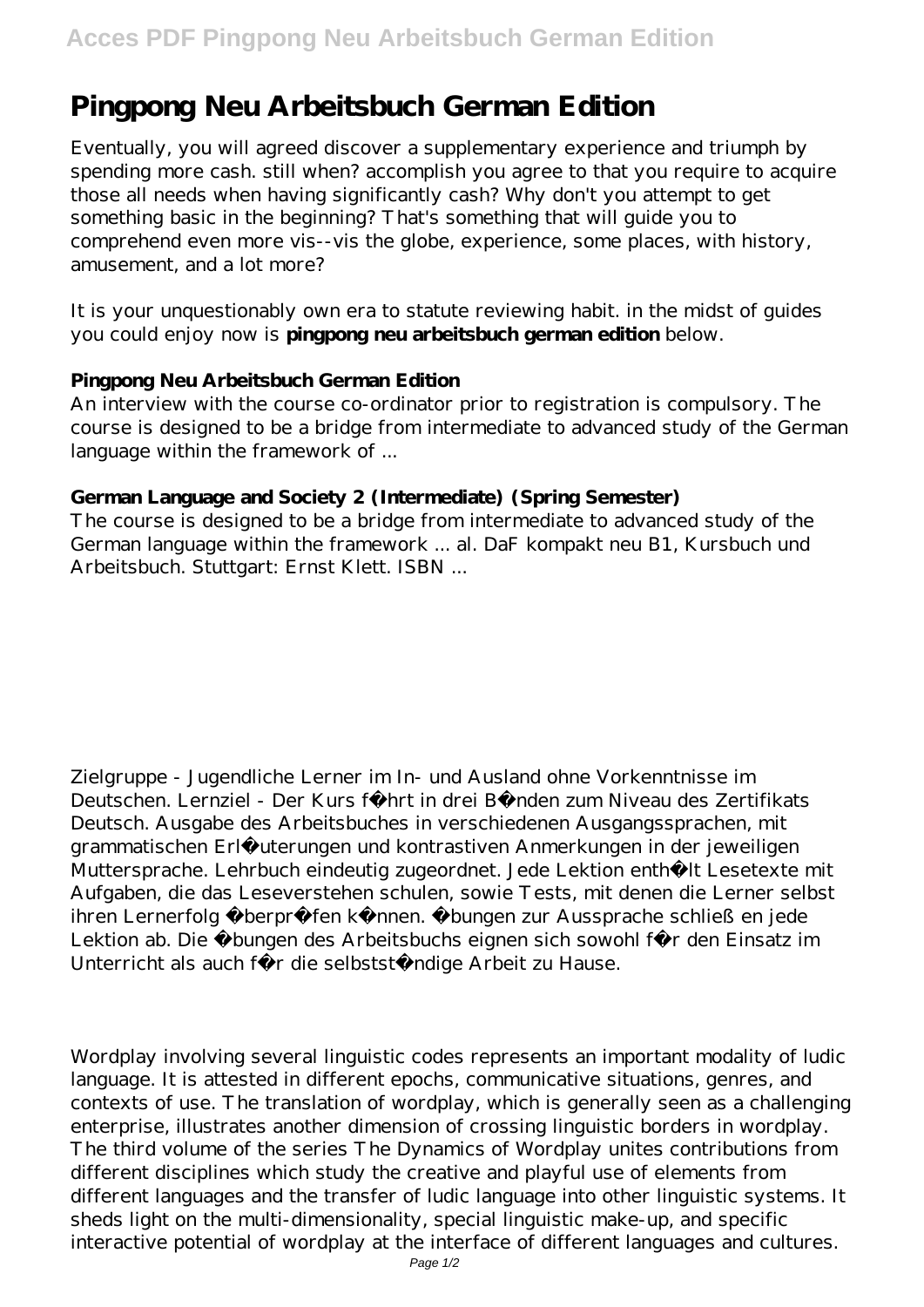## **Pingpong Neu Arbeitsbuch German Edition**

Eventually, you will agreed discover a supplementary experience and triumph by spending more cash. still when? accomplish you agree to that you require to acquire those all needs when having significantly cash? Why don't you attempt to get something basic in the beginning? That's something that will guide you to comprehend even more vis--vis the globe, experience, some places, with history, amusement, and a lot more?

It is your unquestionably own era to statute reviewing habit. in the midst of guides you could enjoy now is **pingpong neu arbeitsbuch german edition** below.

## **Pingpong Neu Arbeitsbuch German Edition**

An interview with the course co-ordinator prior to registration is compulsory. The course is designed to be a bridge from intermediate to advanced study of the German language within the framework of ...

## **German Language and Society 2 (Intermediate) (Spring Semester)**

The course is designed to be a bridge from intermediate to advanced study of the German language within the framework ... al. DaF kompakt neu B1, Kursbuch und Arbeitsbuch. Stuttgart: Ernst Klett. ISBN ...

Zielgruppe - Jugendliche Lerner im In- und Ausland ohne Vorkenntnisse im Deutschen. Lernziel - Der Kurs führt in drei Bänden zum Niveau des Zertifikats Deutsch. Ausgabe des Arbeitsbuches in verschiedenen Ausgangssprachen, mit grammatischen Erläuterungen und kontrastiven Anmerkungen in der jeweiligen Muttersprache. Lehrbuch eindeutig zugeordnet. Jede Lektion enthält Lesetexte mit Aufgaben, die das Leseverstehen schulen, sowie Tests, mit denen die Lerner selbst ihren Lernerfolg überprüfen können. Übungen zur Aussprache schließ en jede Lektion ab. Die Übungen des Arbeitsbuchs eignen sich sowohl für den Einsatz im Unterricht als auch für die selbstständige Arbeit zu Hause.

Wordplay involving several linguistic codes represents an important modality of ludic language. It is attested in different epochs, communicative situations, genres, and contexts of use. The translation of wordplay, which is generally seen as a challenging enterprise, illustrates another dimension of crossing linguistic borders in wordplay. The third volume of the series The Dynamics of Wordplay unites contributions from different disciplines which study the creative and playful use of elements from different languages and the transfer of ludic language into other linguistic systems. It sheds light on the multi-dimensionality, special linguistic make-up, and specific interactive potential of wordplay at the interface of different languages and cultures.